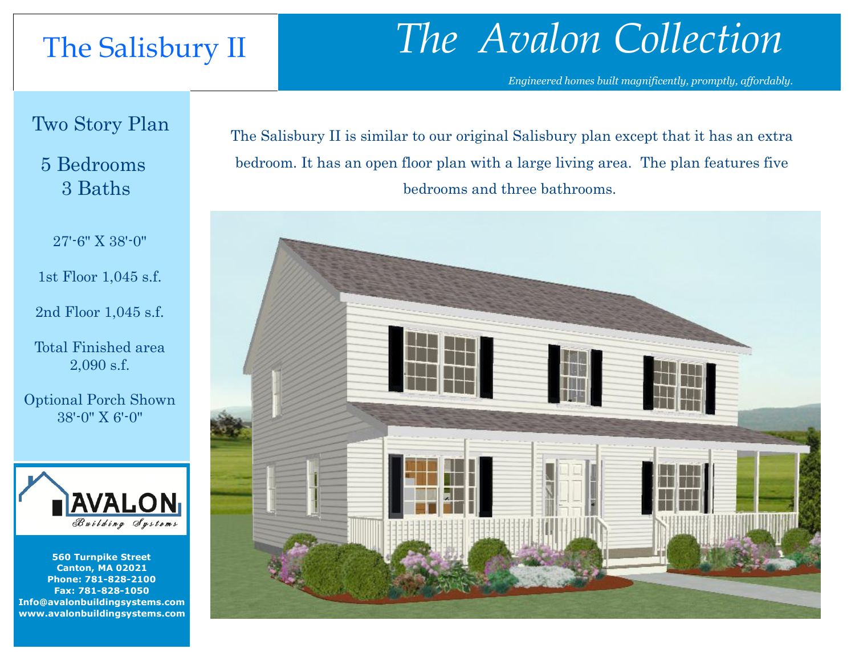### The Salisbury II

# *The Avalon Collection*

*Engineered homes built magnificently, promptly, affordably.* 

Two Story Plan

### 5 Bedrooms 3 Baths

27'-6" X 38'-0"

1st Floor 1,045 s.f.

2nd Floor 1,045 s.f.

Total Finished area 2,090 s.f.

Optional Porch Shown 38'-0" X 6'-0"



**560 Turnpike Street Canton, MA 02021 Phone: 781-828-2100 Fax: 781-828-1050 Info@avalonbuildingsystems.com www.avalonbuildingsystems.com**

The Salisbury II is similar to our original Salisbury plan except that it has an extra bedroom. It has an open floor plan with a large living area. The plan features five bedrooms and three bathrooms.

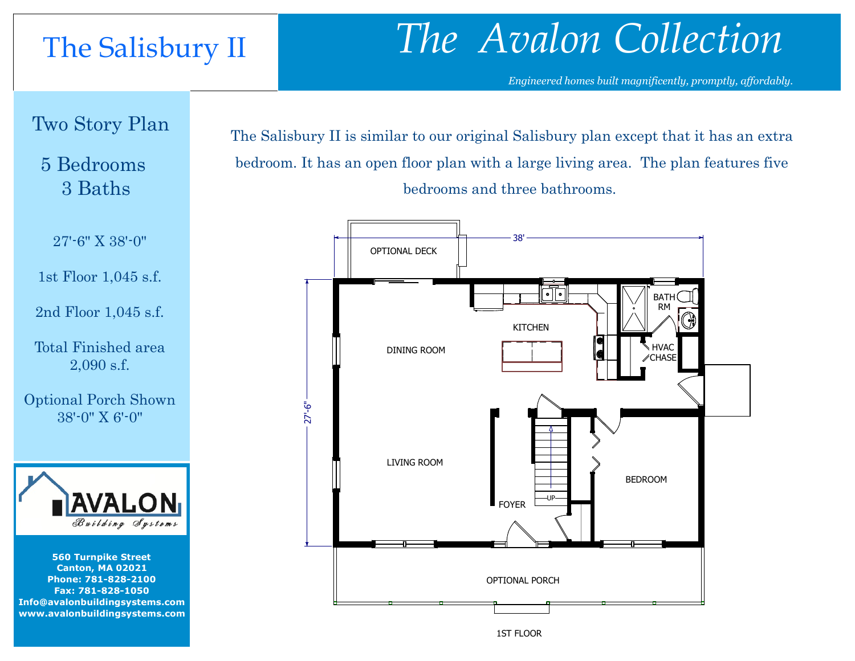## The Salisbury II

# *The Avalon Collection*

*Engineered homes built magnificently, promptly, affordably.* 

Two Story Plan

### 5 Bedrooms 3 Baths

27'-6" X 38'-0"

1st Floor 1,045 s.f.

2nd Floor 1,045 s.f.

Total Finished area 2,090 s.f.

Optional Porch Shown 38'-0" X 6'-0"



**560 Turnpike Street Canton, MA 02021 Phone: 781-828-2100 Fax: 781-828-1050 Info@avalonbuildingsystems.com www.avalonbuildingsystems.com**

The Salisbury II is similar to our original Salisbury plan except that it has an extra bedroom. It has an open floor plan with a large living area. The plan features five bedrooms and three bathrooms.